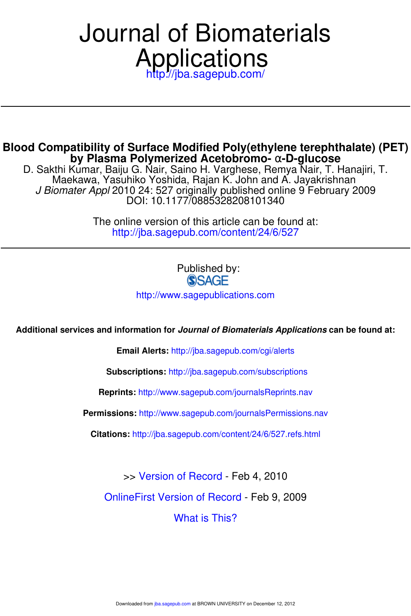# **Applications** Journal of Biomaterials

http://jba.sagepub.com/

**by Plasma Polymerized Acetobromo-** α**-D-glucose Blood Compatibility of Surface Modified Poly(ethylene terephthalate) (PET)**

DOI: 10.1177/0885328208101340 J Biomater Appl 2010 24: 527 originally published online 9 February 2009 Maekawa, Yasuhiko Yoshida, Rajan K. John and A. Jayakrishnan D. Sakthi Kumar, Baiju G. Nair, Saino H. Varghese, Remya Nair, T. Hanajiri, T.

> http://jba.sagepub.com/content/24/6/527 The online version of this article can be found at:

> > Published by:<br>
> > SAGE

http://www.sagepublications.com

**Additional services and information for Journal of Biomaterials Applications can be found at:**

**Email Alerts:** http://jba.sagepub.com/cgi/alerts

**Subscriptions:** http://jba.sagepub.com/subscriptions

**Reprints:** http://www.sagepub.com/journalsReprints.nav

**Permissions:** http://www.sagepub.com/journalsPermissions.nav

**Citations:** http://jba.sagepub.com/content/24/6/527.refs.html

>> Version of Record - Feb 4, 2010

OnlineFirst Version of Record - Feb 9, 2009

What is This?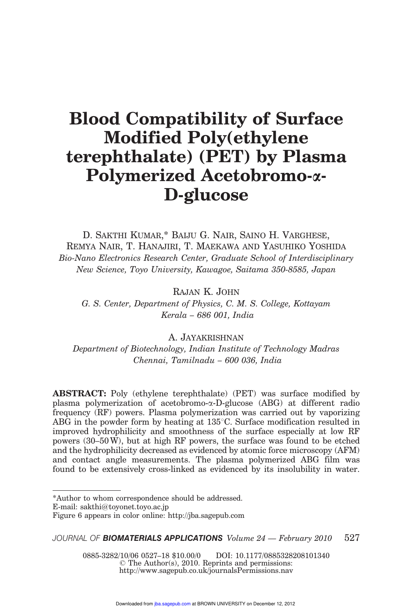# Blood Compatibility of Surface Modified Poly(ethylene terephthalate) (PET) by Plasma Polymerized Acetobromo- $\alpha$ -D-glucose

D. SAKTHI KUMAR,\* BAIJU G. NAIR, SAINO H. VARGHESE, REMYA NAIR, T. HANAJIRI, T. MAEKAWA AND YASUHIKO YOSHIDA Bio-Nano Electronics Research Center, Graduate School of Interdisciplinary New Science, Toyo University, Kawagoe, Saitama 350-8585, Japan

RAJAN K. JOHN

G. S. Center, Department of Physics, C. M. S. College, Kottayam Kerala – 686 001, India

A. JAYAKRISHNAN

Department of Biotechnology, Indian Institute of Technology Madras Chennai, Tamilnadu – 600 036, India

ABSTRACT: Poly (ethylene terephthalate) (PET) was surface modified by plasma polymerization of acetobromo-a-D-glucose (ABG) at different radio frequency (RF) powers. Plasma polymerization was carried out by vaporizing ABG in the powder form by heating at  $135^{\circ}$ C. Surface modification resulted in improved hydrophilicity and smoothness of the surface especially at low RF powers (30–50 W), but at high RF powers, the surface was found to be etched and the hydrophilicity decreased as evidenced by atomic force microscopy (AFM) and contact angle measurements. The plasma polymerized ABG film was found to be extensively cross-linked as evidenced by its insolubility in water.

\*Author to whom correspondence should be addressed.

E-mail: sakthi@toyonet.toyo.ac.jp

JOURNAL OF **BIOMATERIALS APPLICATIONS** Volume 24 - February 2010 527

0885-3282/10/06 0527–18 \$10.00/0 DOI: 10.1177/0885328208101340  $© The Author(s), 2010. Reprints and permissions:$ http://www.sagepub.co.uk/journalsPermissions.nav

Figure 6 appears in color online: http://jba.sagepub.com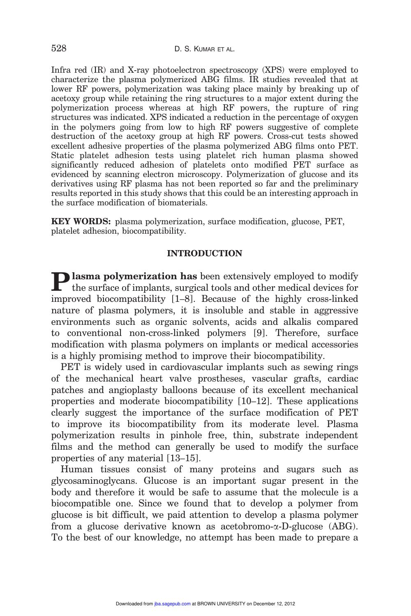Infra red (IR) and X-ray photoelectron spectroscopy (XPS) were employed to characterize the plasma polymerized ABG films. IR studies revealed that at lower RF powers, polymerization was taking place mainly by breaking up of acetoxy group while retaining the ring structures to a major extent during the polymerization process whereas at high RF powers, the rupture of ring structures was indicated. XPS indicated a reduction in the percentage of oxygen in the polymers going from low to high RF powers suggestive of complete destruction of the acetoxy group at high RF powers. Cross-cut tests showed excellent adhesive properties of the plasma polymerized ABG films onto PET. Static platelet adhesion tests using platelet rich human plasma showed significantly reduced adhesion of platelets onto modified PET surface as evidenced by scanning electron microscopy. Polymerization of glucose and its derivatives using RF plasma has not been reported so far and the preliminary results reported in this study shows that this could be an interesting approach in the surface modification of biomaterials.

KEY WORDS: plasma polymerization, surface modification, glucose, PET, platelet adhesion, biocompatibility.

## INTRODUCTION

**P** lasma polymerization has been extensively employed to modify the surface of implants, surgical tools and other medical devices for the surface of implants, surgical tools and other medical devices for improved biocompatibility [1–8]. Because of the highly cross-linked nature of plasma polymers, it is insoluble and stable in aggressive environments such as organic solvents, acids and alkalis compared to conventional non-cross-linked polymers [9]. Therefore, surface modification with plasma polymers on implants or medical accessories is a highly promising method to improve their biocompatibility.

PET is widely used in cardiovascular implants such as sewing rings of the mechanical heart valve prostheses, vascular grafts, cardiac patches and angioplasty balloons because of its excellent mechanical properties and moderate biocompatibility [10–12]. These applications clearly suggest the importance of the surface modification of PET to improve its biocompatibility from its moderate level. Plasma polymerization results in pinhole free, thin, substrate independent films and the method can generally be used to modify the surface properties of any material [13–15].

Human tissues consist of many proteins and sugars such as glycosaminoglycans. Glucose is an important sugar present in the body and therefore it would be safe to assume that the molecule is a biocompatible one. Since we found that to develop a polymer from glucose is bit difficult, we paid attention to develop a plasma polymer from a glucose derivative known as acetobromo-a-D-glucose (ABG). To the best of our knowledge, no attempt has been made to prepare a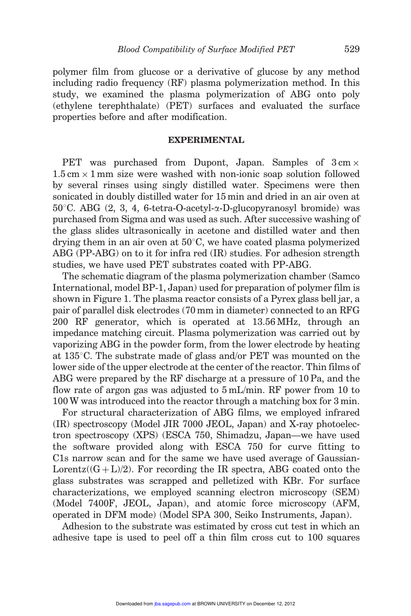polymer film from glucose or a derivative of glucose by any method including radio frequency (RF) plasma polymerization method. In this study, we examined the plasma polymerization of ABG onto poly (ethylene terephthalate) (PET) surfaces and evaluated the surface properties before and after modification.

# EXPERIMENTAL

PET was purchased from Dupont, Japan. Samples of  $3 \text{ cm} \times$  $1.5 \text{ cm} \times 1 \text{ mm}$  size were washed with non-ionic soap solution followed by several rinses using singly distilled water. Specimens were then sonicated in doubly distilled water for 15 min and dried in an air oven at  $50^{\circ}$ C. ABG (2, 3, 4, 6-tetra-O-acetyl- $\alpha$ -D-glucopyranosyl bromide) was purchased from Sigma and was used as such. After successive washing of the glass slides ultrasonically in acetone and distilled water and then drying them in an air oven at  $50^{\circ}$ C, we have coated plasma polymerized ABG (PP-ABG) on to it for infra red (IR) studies. For adhesion strength studies, we have used PET substrates coated with PP-ABG.

The schematic diagram of the plasma polymerization chamber (Samco International, model BP-1, Japan) used for preparation of polymer film is shown in Figure 1. The plasma reactor consists of a Pyrex glass bell jar, a pair of parallel disk electrodes (70 mm in diameter) connected to an RFG 200 RF generator, which is operated at 13.56 MHz, through an impedance matching circuit. Plasma polymerization was carried out by vaporizing ABG in the powder form, from the lower electrode by heating at  $135^{\circ}$ C. The substrate made of glass and/or PET was mounted on the lower side of the upper electrode at the center of the reactor. Thin films of ABG were prepared by the RF discharge at a pressure of 10 Pa, and the flow rate of argon gas was adjusted to 5 mL/min. RF power from 10 to 100 W was introduced into the reactor through a matching box for 3 min.

For structural characterization of ABG films, we employed infrared (IR) spectroscopy (Model JIR 7000 JEOL, Japan) and X-ray photoelectron spectroscopy (XPS) (ESCA 750, Shimadzu, Japan—we have used the software provided along with ESCA 750 for curve fitting to C1s narrow scan and for the same we have used average of Gaussian-Lorentz( $(G + L)/2$ ). For recording the IR spectra, ABG coated onto the glass substrates was scrapped and pelletized with KBr. For surface characterizations, we employed scanning electron microscopy (SEM) (Model 7400F, JEOL, Japan), and atomic force microscopy (AFM, operated in DFM mode) (Model SPA 300, Seiko Instruments, Japan).

Adhesion to the substrate was estimated by cross cut test in which an adhesive tape is used to peel off a thin film cross cut to 100 squares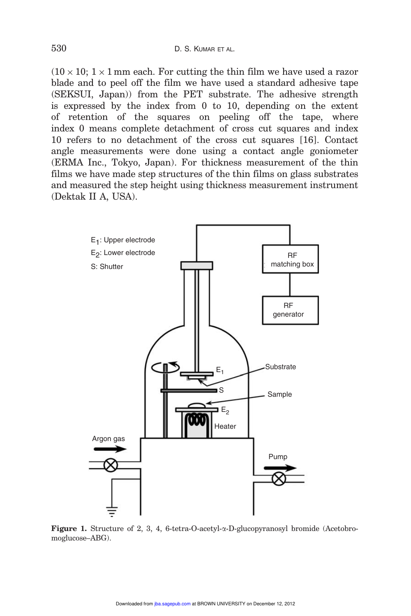$(10 \times 10; 1 \times 1)$  mm each. For cutting the thin film we have used a razor blade and to peel off the film we have used a standard adhesive tape (SEKSUI, Japan)) from the PET substrate. The adhesive strength is expressed by the index from 0 to 10, depending on the extent of retention of the squares on peeling off the tape, where index 0 means complete detachment of cross cut squares and index 10 refers to no detachment of the cross cut squares [16]. Contact angle measurements were done using a contact angle goniometer (ERMA Inc., Tokyo, Japan). For thickness measurement of the thin films we have made step structures of the thin films on glass substrates and measured the step height using thickness measurement instrument (Dektak II A, USA).



Figure 1. Structure of 2, 3, 4, 6-tetra-O-acetyl-a-D-glucopyranosyl bromide (Acetobromoglucose–ABG).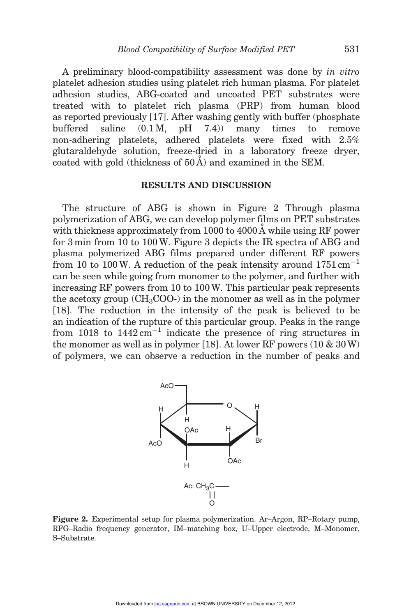A preliminary blood-compatibility assessment was done by in vitro platelet adhesion studies using platelet rich human plasma. For platelet adhesion studies, ABG-coated and uncoated PET substrates were treated with to platelet rich plasma (PRP) from human blood as reported previously [17]. After washing gently with buffer (phosphate buffered saline  $(0.1 M, pH 7.4)$  many times to remove non-adhering platelets, adhered platelets were fixed with 2.5% glutaraldehyde solution, freeze-dried in a laboratory freeze dryer, coated with gold (thickness of  $50 \text{\AA}$ ) and examined in the SEM.

#### RESULTS AND DISCUSSION

The structure of ABG is shown in Figure 2 Through plasma polymerization of ABG, we can develop polymer films on PET substrates with thickness approximately from  $1000$  to  $4000$  A while using RF power for 3 min from 10 to 100 W. Figure 3 depicts the IR spectra of ABG and plasma polymerized ABG films prepared under different RF powers from 10 to 100 W. A reduction of the peak intensity around  $1751 \text{ cm}^{-1}$ can be seen while going from monomer to the polymer, and further with increasing RF powers from 10 to 100 W. This particular peak represents the acetoxy group  $(CH_3COO)$  in the monomer as well as in the polymer [18]. The reduction in the intensity of the peak is believed to be an indication of the rupture of this particular group. Peaks in the range from  $1018$  to  $1442 \text{ cm}^{-1}$  indicate the presence of ring structures in the monomer as well as in polymer [18]. At lower RF powers  $(10 \& 30 W)$ of polymers, we can observe a reduction in the number of peaks and



Figure 2. Experimental setup for plasma polymerization. Ar–Argon, RP–Rotary pump, RFG–Radio frequency generator, IM–matching box, U–Upper electrode, M–Monomer, S–Substrate.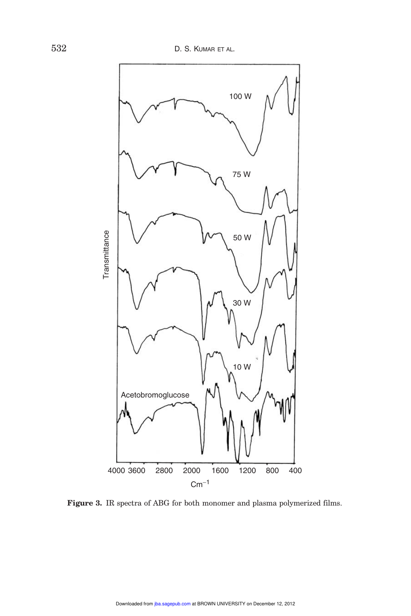

Figure 3. IR spectra of ABG for both monomer and plasma polymerized films.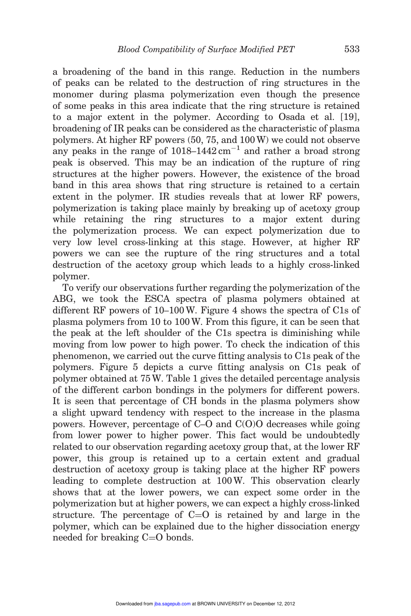a broadening of the band in this range. Reduction in the numbers of peaks can be related to the destruction of ring structures in the monomer during plasma polymerization even though the presence of some peaks in this area indicate that the ring structure is retained to a major extent in the polymer. According to Osada et al. [19], broadening of IR peaks can be considered as the characteristic of plasma polymers. At higher RF powers (50, 75, and 100 W) we could not observe any peaks in the range of  $1018-1442 \text{ cm}^{-1}$  and rather a broad strong peak is observed. This may be an indication of the rupture of ring structures at the higher powers. However, the existence of the broad band in this area shows that ring structure is retained to a certain extent in the polymer. IR studies reveals that at lower RF powers, polymerization is taking place mainly by breaking up of acetoxy group while retaining the ring structures to a major extent during the polymerization process. We can expect polymerization due to very low level cross-linking at this stage. However, at higher RF powers we can see the rupture of the ring structures and a total destruction of the acetoxy group which leads to a highly cross-linked polymer.

To verify our observations further regarding the polymerization of the ABG, we took the ESCA spectra of plasma polymers obtained at different RF powers of 10–100 W. Figure 4 shows the spectra of C1s of plasma polymers from 10 to 100 W. From this figure, it can be seen that the peak at the left shoulder of the C1s spectra is diminishing while moving from low power to high power. To check the indication of this phenomenon, we carried out the curve fitting analysis to C1s peak of the polymers. Figure 5 depicts a curve fitting analysis on C1s peak of polymer obtained at 75 W. Table 1 gives the detailed percentage analysis of the different carbon bondings in the polymers for different powers. It is seen that percentage of CH bonds in the plasma polymers show a slight upward tendency with respect to the increase in the plasma powers. However, percentage of C–O and C(O)O decreases while going from lower power to higher power. This fact would be undoubtedly related to our observation regarding acetoxy group that, at the lower RF power, this group is retained up to a certain extent and gradual destruction of acetoxy group is taking place at the higher RF powers leading to complete destruction at 100 W. This observation clearly shows that at the lower powers, we can expect some order in the polymerization but at higher powers, we can expect a highly cross-linked structure. The percentage of  $C=O$  is retained by and large in the polymer, which can be explained due to the higher dissociation energy needed for breaking  $C=O$  bonds.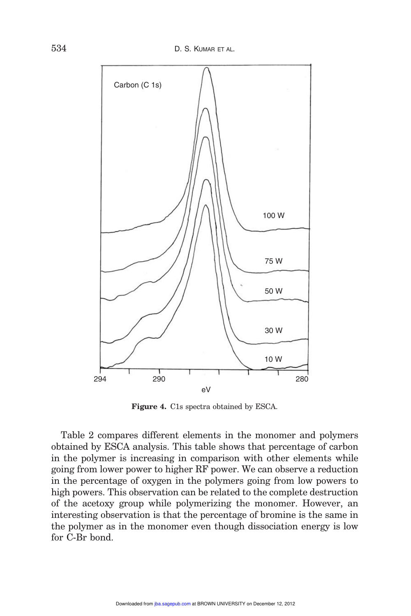

Figure 4. C1s spectra obtained by ESCA.

Table 2 compares different elements in the monomer and polymers obtained by ESCA analysis. This table shows that percentage of carbon in the polymer is increasing in comparison with other elements while going from lower power to higher RF power. We can observe a reduction in the percentage of oxygen in the polymers going from low powers to high powers. This observation can be related to the complete destruction of the acetoxy group while polymerizing the monomer. However, an interesting observation is that the percentage of bromine is the same in the polymer as in the monomer even though dissociation energy is low for C-Br bond.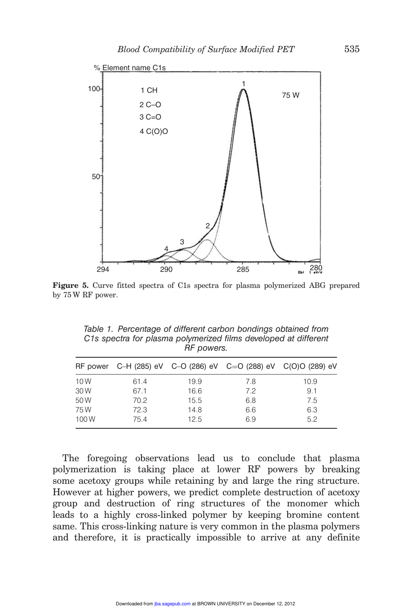

Figure 5. Curve fitted spectra of C1s spectra for plasma polymerized ABG prepared by 75 W RF power.

Table 1. Percentage of different carbon bondings obtained from C1s spectra for plasma polymerized films developed at different RF powers.

|      |      |      |     | RF power C-H (285) eV C-O (286) eV C=O (288) eV C(O)O (289) eV |
|------|------|------|-----|----------------------------------------------------------------|
| 10W  | 61.4 | 19.9 | 7.8 | 10.9                                                           |
| 30W  | 67.1 | 16.6 | 7.2 | 9.1                                                            |
| 50W  | 70.2 | 15.5 | 6.8 | 7.5                                                            |
| 75W  | 72.3 | 14.8 | 6.6 | 6.3                                                            |
| 100W | 75.4 | 12.5 | 6.9 | 5.2                                                            |

The foregoing observations lead us to conclude that plasma polymerization is taking place at lower RF powers by breaking some acetoxy groups while retaining by and large the ring structure. However at higher powers, we predict complete destruction of acetoxy group and destruction of ring structures of the monomer which leads to a highly cross-linked polymer by keeping bromine content same. This cross-linking nature is very common in the plasma polymers and therefore, it is practically impossible to arrive at any definite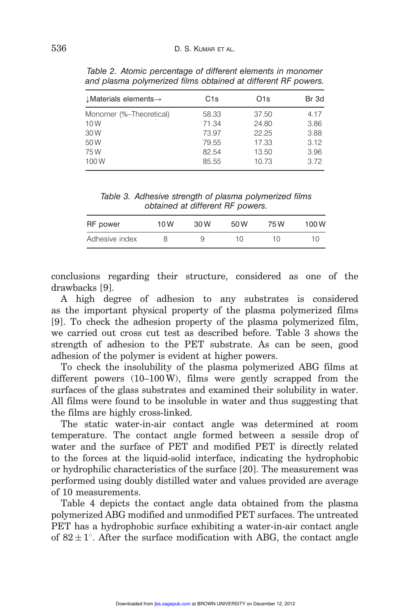| $\downarrow$ Materials elements $\rightarrow$ | C <sub>1s</sub> | O1s   | Br 3d |
|-----------------------------------------------|-----------------|-------|-------|
| Monomer (%-Theoretical)                       | 58.33           | 37.50 | 4.17  |
| 10W                                           | 71.34           | 24.80 | 3.86  |
| 30W                                           | 73.97           | 22.25 | 3.88  |
| 50W                                           | 79.55           | 17.33 | 3.12  |
| 75W                                           | 82.54           | 13.50 | 3.96  |
| 100W                                          | 85.55           | 10.73 | 3.72  |

Table 2. Atomic percentage of different elements in monomer and plasma polymerized films obtained at different RF powers.

Table 3. Adhesive strength of plasma polymerized films obtained at different RF powers.

| RF power       | 10W | 30 W | 50 W | 75 W | 100W |
|----------------|-----|------|------|------|------|
| Adhesive index |     | 9    | 10.  | 10   | 10   |

conclusions regarding their structure, considered as one of the drawbacks [9].

A high degree of adhesion to any substrates is considered as the important physical property of the plasma polymerized films [9]. To check the adhesion property of the plasma polymerized film, we carried out cross cut test as described before. Table 3 shows the strength of adhesion to the PET substrate. As can be seen, good adhesion of the polymer is evident at higher powers.

To check the insolubility of the plasma polymerized ABG films at different powers (10–100 W), films were gently scrapped from the surfaces of the glass substrates and examined their solubility in water. All films were found to be insoluble in water and thus suggesting that the films are highly cross-linked.

The static water-in-air contact angle was determined at room temperature. The contact angle formed between a sessile drop of water and the surface of PET and modified PET is directly related to the forces at the liquid-solid interface, indicating the hydrophobic or hydrophilic characteristics of the surface [20]. The measurement was performed using doubly distilled water and values provided are average of 10 measurements.

Table 4 depicts the contact angle data obtained from the plasma polymerized ABG modified and unmodified PET surfaces. The untreated PET has a hydrophobic surface exhibiting a water-in-air contact angle of  $82 \pm 1^{\circ}$ . After the surface modification with ABG, the contact angle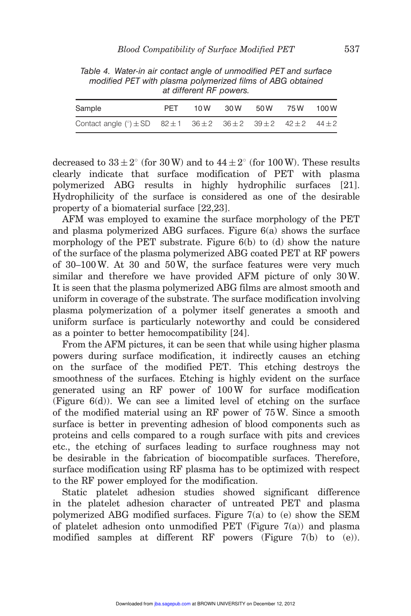|                                                                                              |     | $\alpha$ and $\beta$ is the power of $\alpha$ . |      |           |       |
|----------------------------------------------------------------------------------------------|-----|-------------------------------------------------|------|-----------|-------|
| Sample                                                                                       | PFT | 10W                                             | 30 W | 50 W 75 W | 100 W |
| Contact angle (°) $\pm$ SD $82 \pm 1$ $36 \pm 2$ $36 \pm 2$ $39 \pm 2$ $42 \pm 2$ $44 \pm 2$ |     |                                                 |      |           |       |

Table 4. Water-in air contact angle of unmodified PET and surface modified PET with plasma polymerized films of ABG obtained at different RF powers.

decreased to  $33 \pm 2^{\circ}$  (for 30 W) and to  $44 \pm 2^{\circ}$  (for 100 W). These results clearly indicate that surface modification of PET with plasma polymerized ABG results in highly hydrophilic surfaces [21]. Hydrophilicity of the surface is considered as one of the desirable property of a biomaterial surface [22,23].

AFM was employed to examine the surface morphology of the PET and plasma polymerized ABG surfaces. Figure 6(a) shows the surface morphology of the PET substrate. Figure 6(b) to (d) show the nature of the surface of the plasma polymerized ABG coated PET at RF powers of 30–100 W. At 30 and 50 W, the surface features were very much similar and therefore we have provided AFM picture of only 30 W. It is seen that the plasma polymerized ABG films are almost smooth and uniform in coverage of the substrate. The surface modification involving plasma polymerization of a polymer itself generates a smooth and uniform surface is particularly noteworthy and could be considered as a pointer to better hemocompatibility [24].

From the AFM pictures, it can be seen that while using higher plasma powers during surface modification, it indirectly causes an etching on the surface of the modified PET. This etching destroys the smoothness of the surfaces. Etching is highly evident on the surface generated using an RF power of 100 W for surface modification (Figure  $6(d)$ ). We can see a limited level of etching on the surface of the modified material using an RF power of 75 W. Since a smooth surface is better in preventing adhesion of blood components such as proteins and cells compared to a rough surface with pits and crevices etc., the etching of surfaces leading to surface roughness may not be desirable in the fabrication of biocompatible surfaces. Therefore, surface modification using RF plasma has to be optimized with respect to the RF power employed for the modification.

Static platelet adhesion studies showed significant difference in the platelet adhesion character of untreated PET and plasma polymerized ABG modified surfaces. Figure 7(a) to (e) show the SEM of platelet adhesion onto unmodified PET (Figure  $7(a)$ ) and plasma modified samples at different RF powers (Figure 7(b) to (e)).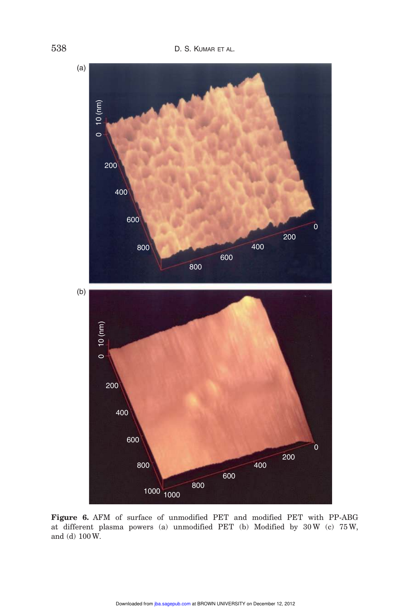

Figure 6. AFM of surface of unmodified PET and modified PET with PP-ABG at different plasma powers (a) unmodified PET (b) Modified by 30 W (c) 75 W, and (d) 100 W.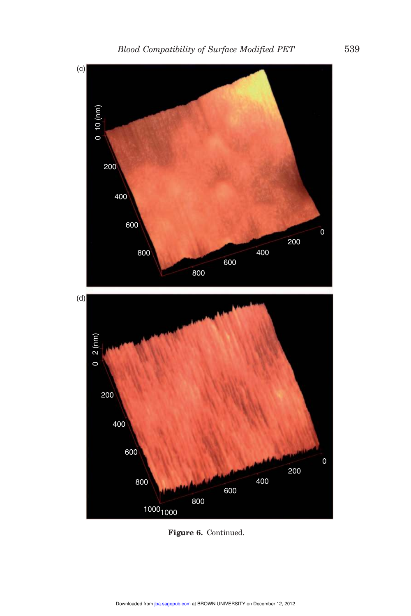

Figure 6. Continued.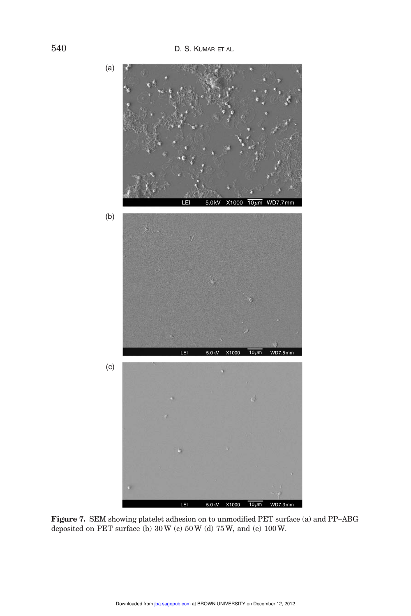

**Figure 7.** SEM showing platelet adhesion on to unmodified PET surface (a) and PP–ABG deposited on PET surface (b)  $30 W$  (c)  $50 W$  (d)  $75 W$ , and (e)  $100 W$ .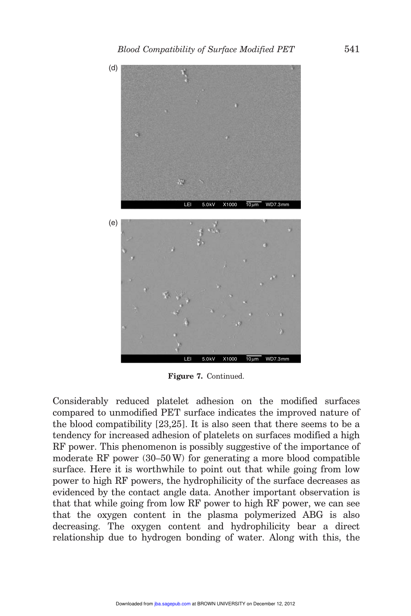

Figure 7. Continued.

Considerably reduced platelet adhesion on the modified surfaces compared to unmodified PET surface indicates the improved nature of the blood compatibility [23,25]. It is also seen that there seems to be a tendency for increased adhesion of platelets on surfaces modified a high RF power. This phenomenon is possibly suggestive of the importance of moderate RF power (30–50 W) for generating a more blood compatible surface. Here it is worthwhile to point out that while going from low power to high RF powers, the hydrophilicity of the surface decreases as evidenced by the contact angle data. Another important observation is that that while going from low RF power to high RF power, we can see that the oxygen content in the plasma polymerized ABG is also decreasing. The oxygen content and hydrophilicity bear a direct relationship due to hydrogen bonding of water. Along with this, the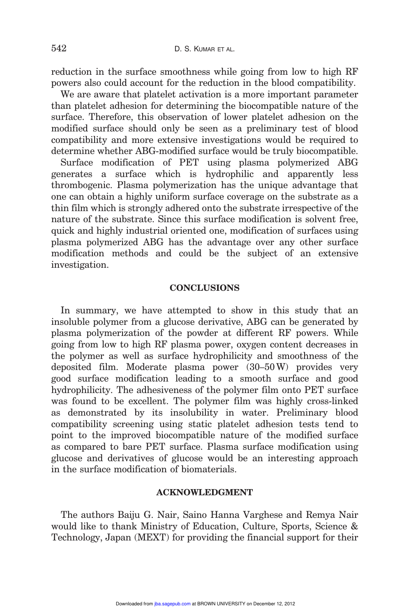reduction in the surface smoothness while going from low to high RF powers also could account for the reduction in the blood compatibility.

We are aware that platelet activation is a more important parameter than platelet adhesion for determining the biocompatible nature of the surface. Therefore, this observation of lower platelet adhesion on the modified surface should only be seen as a preliminary test of blood compatibility and more extensive investigations would be required to determine whether ABG-modified surface would be truly biocompatible.

Surface modification of PET using plasma polymerized ABG generates a surface which is hydrophilic and apparently less thrombogenic. Plasma polymerization has the unique advantage that one can obtain a highly uniform surface coverage on the substrate as a thin film which is strongly adhered onto the substrate irrespective of the nature of the substrate. Since this surface modification is solvent free, quick and highly industrial oriented one, modification of surfaces using plasma polymerized ABG has the advantage over any other surface modification methods and could be the subject of an extensive investigation.

## **CONCLUSIONS**

In summary, we have attempted to show in this study that an insoluble polymer from a glucose derivative, ABG can be generated by plasma polymerization of the powder at different RF powers. While going from low to high RF plasma power, oxygen content decreases in the polymer as well as surface hydrophilicity and smoothness of the deposited film. Moderate plasma power (30–50 W) provides very good surface modification leading to a smooth surface and good hydrophilicity. The adhesiveness of the polymer film onto PET surface was found to be excellent. The polymer film was highly cross-linked as demonstrated by its insolubility in water. Preliminary blood compatibility screening using static platelet adhesion tests tend to point to the improved biocompatible nature of the modified surface as compared to bare PET surface. Plasma surface modification using glucose and derivatives of glucose would be an interesting approach in the surface modification of biomaterials.

# ACKNOWLEDGMENT

The authors Baiju G. Nair, Saino Hanna Varghese and Remya Nair would like to thank Ministry of Education, Culture, Sports, Science & Technology, Japan (MEXT) for providing the financial support for their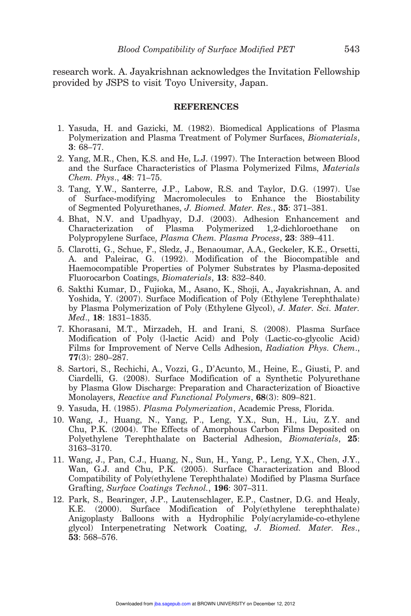research work. A. Jayakrishnan acknowledges the Invitation Fellowship provided by JSPS to visit Toyo University, Japan.

#### REFERENCES

- 1. Yasuda, H. and Gazicki, M. (1982). Biomedical Applications of Plasma Polymerization and Plasma Treatment of Polymer Surfaces, Biomaterials, 3: 68–77.
- 2. Yang, M.R., Chen, K.S. and He, L.J. (1997). The Interaction between Blood and the Surface Characteristics of Plasma Polymerized Films, Materials Chem. Phys., 48: 71–75.
- 3. Tang, Y.W., Santerre, J.P., Labow, R.S. and Taylor, D.G. (1997). Use of Surface-modifying Macromolecules to Enhance the Biostability of Segmented Polyurethanes, J. Biomed. Mater. Res., 35: 371–381.
- 4. Bhat, N.V. and Upadhyay, D.J. (2003). Adhesion Enhancement and Characterization of Plasma Polymerized 1,2-dichloroethane on Polypropylene Surface, Plasma Chem. Plasma Process, 23: 389-411.
- 5. Clarotti, G., Schue, F., Sledz, J., Benaoumar, A.A., Geckeler, K.E., Orsetti, A. and Paleirac, G. (1992). Modification of the Biocompatible and Haemocompatible Properties of Polymer Substrates by Plasma-deposited Fluorocarbon Coatings, Biomaterials, 13: 832–840.
- 6. Sakthi Kumar, D., Fujioka, M., Asano, K., Shoji, A., Jayakrishnan, A. and Yoshida, Y. (2007). Surface Modification of Poly (Ethylene Terephthalate) by Plasma Polymerization of Poly (Ethylene Glycol), J. Mater. Sci. Mater. Med., 18: 1831–1835.
- 7. Khorasani, M.T., Mirzadeh, H. and Irani, S. (2008). Plasma Surface Modification of Poly (l-lactic Acid) and Poly (Lactic-co-glycolic Acid) Films for Improvement of Nerve Cells Adhesion, Radiation Phys. Chem., 77(3): 280–287.
- 8. Sartori, S., Rechichi, A., Vozzi, G., D'Acunto, M., Heine, E., Giusti, P. and Ciardelli, G. (2008). Surface Modification of a Synthetic Polyurethane by Plasma Glow Discharge: Preparation and Characterization of Bioactive Monolayers, Reactive and Functional Polymers, 68(3): 809-821.
- 9. Yasuda, H. (1985). Plasma Polymerization, Academic Press, Florida.
- 10. Wang, J., Huang, N., Yang, P., Leng, Y.X., Sun, H., Liu, Z.Y. and Chu, P.K. (2004). The Effects of Amorphous Carbon Films Deposited on Polyethylene Terephthalate on Bacterial Adhesion, Biomaterials, 25: 3163–3170.
- 11. Wang, J., Pan, C.J., Huang, N., Sun, H., Yang, P., Leng, Y.X., Chen, J.Y., Wan, G.J. and Chu, P.K. (2005). Surface Characterization and Blood Compatibility of Poly(ethylene Terephthalate) Modified by Plasma Surface Grafting, Surface Coatings Technol., 196: 307–311.
- 12. Park, S., Bearinger, J.P., Lautenschlager, E.P., Castner, D.G. and Healy, K.E. (2000). Surface Modification of Poly(ethylene terephthalate) Anigoplasty Balloons with a Hydrophilic Poly(acrylamide-co-ethylene glycol) Interpenetrating Network Coating, J. Biomed. Mater. Res., 53: 568–576.